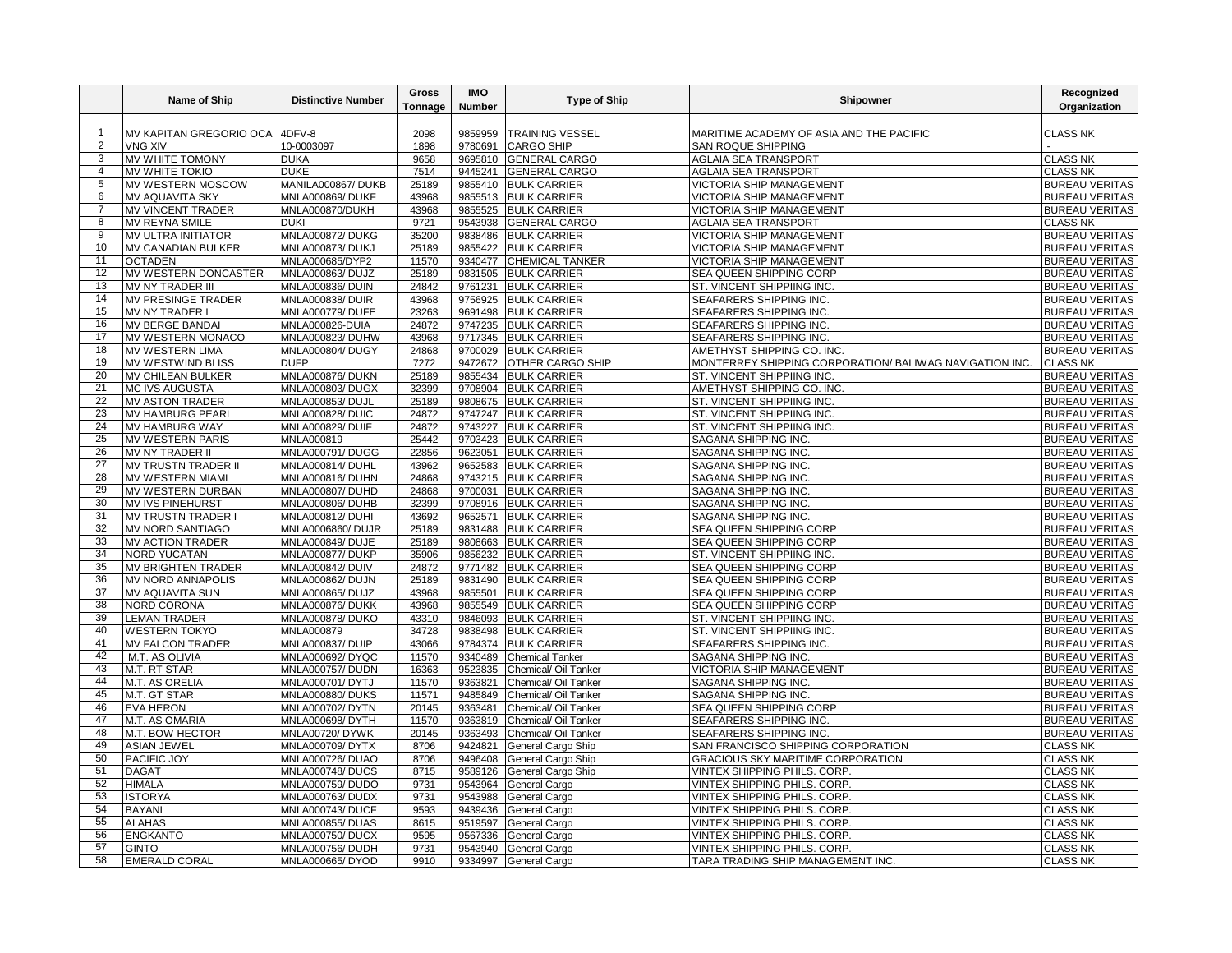|                 | Name of Ship                            | <b>Distinctive Number</b>            | <b>Gross</b><br>Tonnage | <b>IMO</b><br>Number | <b>Type of Ship</b>                          | Shipowner                                              | Recognized<br>Organization                     |
|-----------------|-----------------------------------------|--------------------------------------|-------------------------|----------------------|----------------------------------------------|--------------------------------------------------------|------------------------------------------------|
|                 |                                         |                                      |                         |                      |                                              |                                                        |                                                |
| $\overline{1}$  | MV KAPITAN GREGORIO OCA                 | 4DFV-8                               | 2098                    | 9859959              | TRAINING VESSEL                              | MARITIME ACADEMY OF ASIA AND THE PACIFIC               | <b>CLASS NK</b>                                |
| $\overline{2}$  | <b>VNG XIV</b>                          | 10-0003097                           | 1898                    | 9780691              | <b>CARGO SHIP</b>                            | SAN ROQUE SHIPPING                                     |                                                |
| 3               | <b>MV WHITE TOMONY</b>                  | <b>DUKA</b>                          | 9658                    | 9695810              | <b>GENERAL CARGO</b>                         | <b>AGLAIA SEA TRANSPORT</b>                            | <b>CLASS NK</b>                                |
| $\overline{4}$  | MV WHITE TOKIO                          | <b>DUKE</b>                          | 7514                    |                      | 9445241 GENERAL CARGO                        | <b>AGLAIA SEA TRANSPORT</b>                            | <b>CLASS NK</b>                                |
| 5               | MV WESTERN MOSCOW                       | MANILA000867/DUKB                    | 25189                   | 9855410              | <b>BULK CARRIER</b>                          | VICTORIA SHIP MANAGEMENT                               | <b>BUREAU VERITAS</b>                          |
| 6               | MV AQUAVITA SKY                         | MNLA000869/ DUKF                     | 43968                   | 9855513              | <b>BULK CARRIER</b>                          | VICTORIA SHIP MANAGEMENT                               | <b>BUREAU VERITAS</b>                          |
| $\overline{7}$  | MV VINCENT TRADER                       | <b>MNLA000870/DUKH</b>               | 43968                   |                      | 9855525 BULK CARRIER                         | <b>VICTORIA SHIP MANAGEMENT</b>                        | <b>BUREAU VERITAS</b>                          |
| 8               | MV REYNA SMILE                          | <b>DUKI</b>                          | 9721                    |                      | 9543938 GENERAL CARGO                        | AGLAIA SEA TRANSPORT                                   | <b>CLASS NK</b>                                |
| 9               | MV ULTRA INITIATOR                      | MNLA000872/ DUKG                     | 35200                   |                      | 9838486 BULK CARRIER                         | VICTORIA SHIP MANAGEMENT                               | <b>BUREAU VERITAS</b>                          |
| 10              | MV CANADIAN BULKER                      | MNLA000873/ DUKJ                     | 25189                   |                      | 9855422 BULK CARRIER                         | VICTORIA SHIP MANAGEMENT                               | <b>BUREAU VERITAS</b>                          |
| 11              | <b>OCTADEN</b>                          | MNLA000685/DYP2                      | 11570                   |                      | 9340477 CHEMICAL TANKER                      | VICTORIA SHIP MANAGEMENT                               | <b>BUREAU VERITAS</b>                          |
| $\overline{12}$ | MV WESTERN DONCASTER                    | MNLA000863/ DUJZ                     | 25189                   | 9831505              | <b>BULK CARRIER</b>                          | SEA QUEEN SHIPPING CORP                                | <b>BUREAU VERITAS</b>                          |
| 13              | MV NY TRADER III                        | MNLA000836/ DUIN                     | 24842                   |                      | 9761231 BULK CARRIER                         | ST. VINCENT SHIPPIING INC.                             | <b>BUREAU VERITAS</b>                          |
| 14              | MV PRESINGE TRADER                      | <b>MNLA000838/ DUIR</b>              | 43968                   | 9756925              | <b>BULK CARRIER</b>                          | SEAFARERS SHIPPING INC.                                | <b>BUREAU VERITAS</b>                          |
| 15              | MV NY TRADER I                          | MNLA000779/ DUFE                     | 23263                   | 9691498              | <b>BULK CARRIER</b>                          | SEAFARERS SHIPPING INC.                                | <b>BUREAU VERITAS</b>                          |
| 16              | MV BERGE BANDAI                         | MNLA000826-DUIA                      | 24872                   |                      | 9747235 BULK CARRIER                         | SEAFARERS SHIPPING INC.                                | <b>BUREAU VERITAS</b>                          |
| 17              | MV WESTERN MONACO                       | MNLA000823/ DUHW                     | 43968                   |                      | 9717345 BULK CARRIER                         | SEAFARERS SHIPPING INC.                                | <b>BUREAU VERITAS</b>                          |
| 18              | MV WESTERN LIMA                         | MNLA000804/ DUGY                     | 24868                   |                      | 9700029 BULK CARRIER                         | AMETHYST SHIPPING CO. INC                              | <b>BUREAU VERITAS</b>                          |
| 19              | MV WESTWIND BLISS                       | <b>DUFP</b>                          | 7272                    |                      | 9472672 OTHER CARGO SHIP                     | MONTERREY SHIPPING CORPORATION/BALIWAG NAVIGATION INC. | <b>CLASS NK</b>                                |
| 20              | MV CHILEAN BULKER                       | <b>MNLA000876/ DUKN</b>              | 25189                   |                      | 9855434 BULK CARRIER                         | ST. VINCENT SHIPPIING INC.                             | <b>BUREAU VERITAS</b>                          |
| 21              | MC IVS AUGUSTA                          | MNLA000803/ DUGX                     | 32399                   |                      | 9708904 BULK CARRIER                         | AMETHYST SHIPPING CO. INC                              | <b>BUREAU VERITAS</b>                          |
| 22              | <b>MV ASTON TRADER</b>                  | MNLA000853/ DUJL                     | 25189                   |                      | 9808675 BULK CARRIER                         | ST. VINCENT SHIPPIING INC.                             | <b>BUREAU VERITAS</b>                          |
| 23              | <b>MV HAMBURG PEARL</b>                 | <b>MNLA000828/ DUIC</b>              | 24872                   |                      | 9747247 BULK CARRIER                         | ST. VINCENT SHIPPIING INC.                             | <b>BUREAU VERITAS</b>                          |
| 24              | MV HAMBURG WAY                          | MNLA000829/ DUIF                     | 24872                   | 9743227              | <b>BULK CARRIER</b>                          | ST. VINCENT SHIPPIING INC.                             | <b>BUREAU VERITAS</b>                          |
| 25              | MV WESTERN PARIS                        | MNLA000819                           | 25442                   |                      | 9703423 BULK CARRIER                         | SAGANA SHIPPING INC.                                   | <b>BUREAU VERITAS</b>                          |
| 26              | MV NY TRADER II                         | MNLA000791/DUGG                      | 22856                   |                      | 9623051 BULK CARRIER                         | SAGANA SHIPPING INC.                                   | <b>BUREAU VERITAS</b>                          |
| $\overline{27}$ | <b>MV TRUSTN TRADER II</b>              | MNLA000814/ DUHL                     | 43962                   |                      | 9652583 BULK CARRIER                         | SAGANA SHIPPING INC.                                   | <b>BUREAU VERITAS</b>                          |
| 28              | MV WESTERN MIAMI                        | MNLA000816/ DUHN                     | 24868                   | 9743215              | <b>BULK CARRIER</b>                          | SAGANA SHIPPING INC.                                   | <b>BUREAU VERITAS</b>                          |
| 29              | MV WESTERN DURBAN                       | MNLA000807/ DUHD                     | 24868                   | 9700031              | <b>BULK CARRIER</b>                          | SAGANA SHIPPING INC.                                   | <b>BUREAU VERITAS</b>                          |
| 30              | MV IVS PINEHURST                        | MNLA000806/ DUHB                     | 32399                   |                      | 9708916 BULK CARRIER                         | SAGANA SHIPPING INC.                                   | <b>BUREAU VERITAS</b>                          |
| 31              | MV TRUSTN TRADER I                      | MNLA000812/ DUHI                     | 43692                   |                      | 9652571 BULK CARRIER                         | SAGANA SHIPPING INC.                                   | <b>BUREAU VERITAS</b>                          |
| 32<br>33        | MV NORD SANTIAGO                        | MNLA0006860/ DUJR                    | 25189                   |                      | 9831488 BULK CARRIER                         | SEA QUEEN SHIPPING CORP                                | <b>BUREAU VERITAS</b>                          |
| 34              | <b>MV ACTION TRADER</b>                 | MNLA000849/ DUJE                     | 25189                   |                      | 9808663 BULK CARRIER                         | SEA QUEEN SHIPPING CORP                                | <b>BUREAU VERITAS</b>                          |
| 35              | <b>NORD YUCATAN</b>                     | MNLA000877/ DUKP                     | 35906                   |                      | 9856232 BULK CARRIER                         | ST. VINCENT SHIPPIING INC.                             | <b>BUREAU VERITAS</b>                          |
| 36              | MV BRIGHTEN TRADER<br>MV NORD ANNAPOLIS | MNLA000842/ DUIV<br>MNLA000862/ DUJN | 24872<br>25189          |                      | 9771482 BULK CARRIER<br>9831490 BULK CARRIER | SEA QUEEN SHIPPING CORP<br>SEA QUEEN SHIPPING CORP     | <b>BUREAU VERITAS</b><br><b>BUREAU VERITAS</b> |
| $\overline{37}$ | MV AQUAVITA SUN                         | MNLA000865/ DUJZ                     | 43968                   | 9855501              | <b>BULK CARRIER</b>                          | SEA QUEEN SHIPPING CORP                                | <b>BUREAU VERITAS</b>                          |
| 38              | NORD CORONA                             | <b>MNLA000876/ DUKK</b>              | 43968                   | 9855549              | <b>BULK CARRIER</b>                          | SEA QUEEN SHIPPING CORP                                | <b>BUREAU VERITAS</b>                          |
| 39              | <b>LEMAN TRADER</b>                     | MNLA000878/ DUKO                     | 43310                   |                      | 9846093 BULK CARRIER                         | ST. VINCENT SHIPPIING INC.                             | <b>BUREAU VERITAS</b>                          |
| 40              | <b>WESTERN TOKYO</b>                    | MNLA000879                           | 34728                   | 9838498              | <b>BULK CARRIER</b>                          | ST. VINCENT SHIPPIING INC.                             | <b>BUREAU VERITAS</b>                          |
| 41              | <b>MV FALCON TRADER</b>                 | MNLA000837/ DUIP                     | 43066                   |                      | 9784374 BULK CARRIER                         | SEAFARERS SHIPPING INC.                                | <b>BUREAU VERITAS</b>                          |
| 42              | M.T. AS OLIVIA                          | MNLA000692/DYQC                      | 11570                   | 9340489              | <b>Chemical Tanker</b>                       | SAGANA SHIPPING INC                                    | <b>BUREAU VERITAS</b>                          |
| 43              | M.T. RT STAR                            | <b>MNLA000757/ DUDN</b>              | 16363                   | 9523835              | Chemical/ Oil Tanker                         | VICTORIA SHIP MANAGEMENT                               | <b>BUREAU VERITAS</b>                          |
| 44              | M.T. AS ORELIA                          | MNLA000701/ DYTJ                     | 11570                   | 9363821              | Chemical/ Oil Tanker                         | SAGANA SHIPPING INC.                                   | <b>BUREAU VERITAS</b>                          |
| 45              | M.T. GT STAR                            | MNLA000880/ DUKS                     | 11571                   | 9485849              | Chemical/ Oil Tanker                         | SAGANA SHIPPING INC.                                   | <b>BUREAU VERITAS</b>                          |
| 46              | <b>EVA HERON</b>                        | MNLA000702/ DYTN                     | 20145                   | 9363481              | Chemical/ Oil Tanker                         | SEA QUEEN SHIPPING CORP                                | <b>BUREAU VERITAS</b>                          |
| 47              | M.T. AS OMARIA                          | MNLA000698/ DYTH                     | 11570                   | 9363819              | Chemical/ Oil Tanker                         | SEAFARERS SHIPPING INC.                                | <b>BUREAU VERITAS</b>                          |
| 48              | M.T. BOW HECTOR                         | MNLA00720/DYWK                       | 20145                   | 9363493              | Chemical/ Oil Tanker                         | SEAFARERS SHIPPING INC.                                | <b>BUREAU VERITAS</b>                          |
| 49              | <b>ASIAN JEWEL</b>                      | MNLA000709/ DYTX                     | 8706                    | 9424821              | General Cargo Ship                           | SAN FRANCISCO SHIPPING CORPORATION                     | <b>CLASS NK</b>                                |
| 50              | PACIFIC JOY                             | MNLA000726/ DUAO                     | 8706                    | 9496408              | General Cargo Ship                           | GRACIOUS SKY MARITIME CORPORATION                      | <b>CLASS NK</b>                                |
| 51              | <b>DAGAT</b>                            | <b>MNLA000748/ DUCS</b>              | 8715                    | 9589126              | General Cargo Ship                           | VINTEX SHIPPING PHILS. CORP.                           | <b>CLASS NK</b>                                |
| 52              | HIMALA                                  | MNLA000759/DUDO                      | 9731                    | 9543964              | General Cargo                                | VINTEX SHIPPING PHILS. CORP.                           | <b>CLASS NK</b>                                |
| 53              | <b>STORYA</b>                           | MNLA000763/ DUDX                     | 9731                    | 9543988              | General Cargo                                | VINTEX SHIPPING PHILS. CORP.                           | <b>CLASS NK</b>                                |
| 54              | <b>BAYANI</b>                           | <b>MNLA000743/ DUCF</b>              | 9593                    | 9439436              | General Cargo                                | VINTEX SHIPPING PHILS. CORP.                           | <b>CLASS NK</b>                                |
| 55              | <b>ALAHAS</b>                           | MNLA000855/ DUAS                     | 8615                    | 9519597              | General Cargo                                | VINTEX SHIPPING PHILS. CORP.                           | <b>CLASS NK</b>                                |
| 56              | <b>ENGKANTO</b>                         | <b>MNLA000750/ DUCX</b>              | 9595                    | 9567336              | General Cargo                                | VINTEX SHIPPING PHILS. CORP.                           | <b>CLASS NK</b>                                |
| 57              | <b>GINTO</b>                            | MNLA000756/DUDH                      | 9731                    | 9543940              | General Cargo                                | VINTEX SHIPPING PHILS. CORP.                           | <b>CLASS NK</b>                                |
| 58              | <b>EMERALD CORAL</b>                    | MNLA000665/ DYOD                     | 9910                    |                      | 9334997 General Cargo                        | TARA TRADING SHIP MANAGEMENT INC.                      | <b>CLASS NK</b>                                |